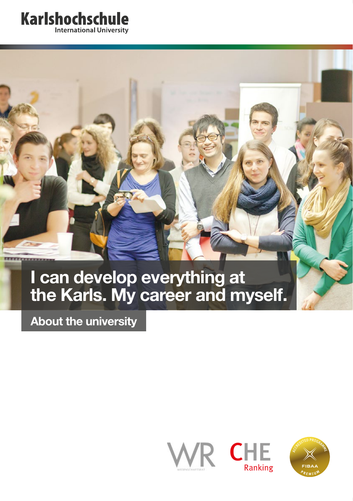## **Karlshochschule International University**

**I can develop everything at the Karls. My career and myself.**

**About the university**



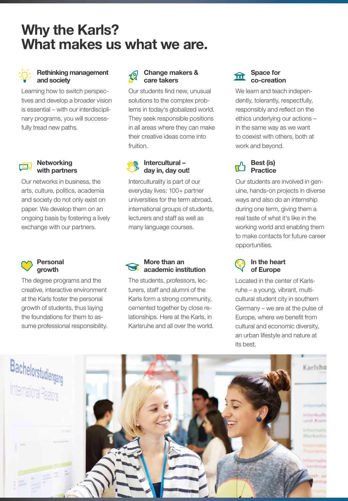# **Why the Karls? What makes us what we are.**

#### **Rethinking management and society**

Learning how to switch perspectives and develop a broader vision is essential – with our interdisciplinary programs, you will successfully tread new paths.

#### **Networking with partners**

Our networks in business, the arts, culture, politics, academia and society do not only exist on paper. We develop them on an ongoing basis by fostering a lively exchange with our partners.



#### **Personal growth**

The degree programs and the creative, interactive environment at the Karls foster the personal growth of students, thus laying the foundations for them to assume professional responsibility.

#### **Change makers & care takers**

Our students find new, unusual solutions to the complex problems in today's globalized world. They seek responsible positions in all areas where they can make their creative ideas come into fruition.

#### **Intercultural – day in, day out!**

Interculturality is part of our everyday lives: 100+ partner universities for the term abroad, international groups of students, lecturers and staff as well as many language courses.



The students, professors, lecturers, staff and alumni of the Karls form a strong community, cemented together by close relationships. Here at the Karls, in Karlsruhe and all over the world.

#### **Space for**  슦 **co-creation**

We learn and teach independently, tolerantly, respectfully, responsibly and reflect on the ethics underlying our actions – in the same way as we want to coexist with others, both at work and beyond.

#### **Best (is) Practice**

Our students are involved in genuine, hands-on projects in diverse ways and also do an internship during one term, giving them a real taste of what it's like in the working world and enabling them to make contacts for future career opportunities.



Located in the center of Karlsruhe – a young, vibrant, multicultural student city in southern Germany – we are at the pulse of Europe, where we benefit from cultural and economic diversity, an urban lifestyle and nature at its best.

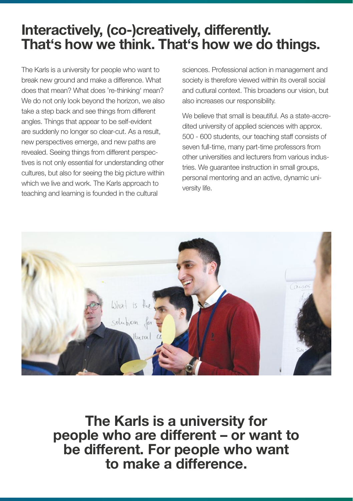# **Interactively, (co-)creatively, differently. That's how we think. That's how we do things.**

The Karls is a university for people who want to break new ground and make a difference. What does that mean? What does 're-thinking' mean? We do not only look beyond the horizon, we also take a step back and see things from different angles. Things that appear to be self-evident are suddenly no longer so clear-cut. As a result, new perspectives emerge, and new paths are revealed. Seeing things from different perspectives is not only essential for understanding other cultures, but also for seeing the big picture within which we live and work. The Karls approach to teaching and learning is founded in the cultural

sciences. Professional action in management and society is therefore viewed within its overall social and cutlural context. This broadens our vision, but also increases our responsibility.

We believe that small is beautiful. As a state-accredited university of applied sciences with approx. 500 - 600 students, our teaching staff consists of seven full-time, many part-time professors from other universities and lecturers from various industries. We guarantee instruction in small groups, personal mentoring and an active, dynamic university life.



**The Karls is a university for people who are different – or want to be different. For people who want to make a difference.**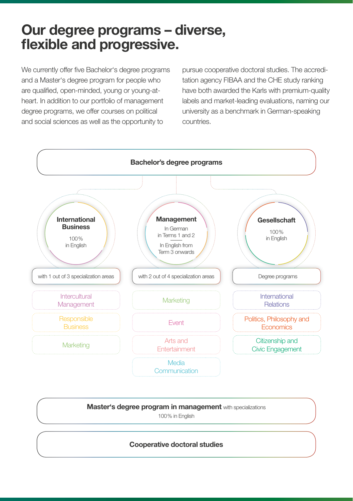## **Our degree programs – diverse, flexible and progressive.**

We currently offer five Bachelor's degree programs and a Master's degree program for people who are qualified, open-minded, young or young-atheart. In addition to our portfolio of management degree programs, we offer courses on political and social sciences as well as the opportunity to

pursue cooperative doctoral studies. The accreditation agency FIBAA and the CHE study ranking have both awarded the Karls with premium-quality labels and market-leading evaluations, naming our university as a benchmark in German-speaking countries.



**Master's degree program in management** with specializations

100% in English

**Cooperative doctoral studies**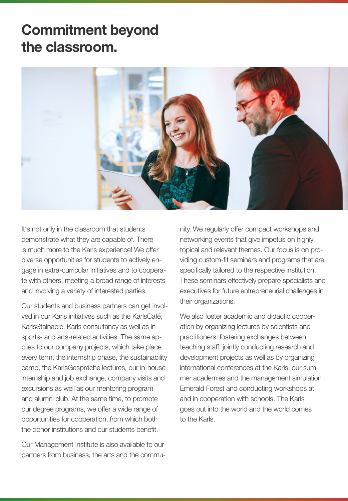# **Commitment beyond the classroom.**



It's not only in the classroom that students demonstrate what they are capable of. There is much more to the Karls experience! We offer diverse opportunities for students to actively engage in extra-curricular initiatives and to cooperate with others, meeting a broad range of interests and involving a variety of interested parties.

Our students and business partners can get involved in our Karls initiatives such as the KarlsCafé, KarlsStainable, Karls consultancy as well as in sports- and arts-related activities. The same applies to our company projects, which take place every term, the internship phase, the sustainability camp, the KarlsGespräche lectures, our in-house internship and job exchange, company visits and excursions as well as our mentoring program and alumni club. At the same time, to promote our degree programs, we offer a wide range of opportunities for cooperation, from which both the donor institutions and our students benefit.

Our Management Institute is also available to our partners from business, the arts and the community. We regularly offer compact workshops and networking events that give impetus on highly topical and relevant themes. Our focus is on providing custom-fit seminars and programs that are specifically tailored to the respective institution. These seminars effectively prepare specialists and executives for future entrepreneurial challenges in their organizations.

We also foster academic and didactic cooperation by organizing lectures by scientists and practitioners, fostering exchanges between teaching staff, jointly conducting research and development projects as well as by organizing international conferences at the Karls, our summer academies and the management simulation Emerald Forest and conducting workshops at and in cooperation with schools. The Karls goes out into the world and the world comes to the Karls.